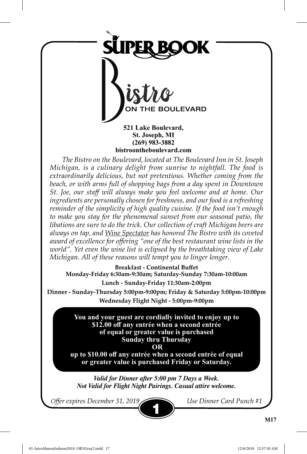

**521 Lake Boulevard, St. Joseph, MI (269) 983-3882 bistroontheboulevard.com**

*The Bistro on the Boulevard, located at The Boulevard Inn in St. Joseph Michigan, is a culinary delight from sunrise to nightfall. The food is extraordinarily delicious, but not pretentious. Whether coming from the beach, or with arms full of shopping bags from a day spent in Downtown St. Joe, our staff will always make you feel welcome and at home. Our ingredients are personally chosen for freshness, and our food is a refreshing reminder of the simplicity of high quality cuisine. If the food isn't enough to make you stay for the phenomenal sunset from our seasonal patio, the libations are sure to do the trick. Our collection of craft Michigan beers are always on tap, and Wine Spectator has honored The Bistro with its coveted award of excellence for offering "one of the best restaurant wine lists in the world". Yet even the wine list is eclipsed by the breathtaking view of Lake Michigan. All of these reasons will tempt you to linger longer.*

**Breakfast - Continental Buffet Monday-Friday 6:30am-9:30am; Saturday-Sunday 7:30am-10:00am Lunch - Sunday-Friday 11:30am-2:00pm Dinner - Sunday-Thursday 5:00pm-9:00pm; Friday & Saturday 5:00pm-10:00pm Wednesday Flight Night - 5:00pm-9:00pm**

> **You and your guest are cordially invited to enjoy up to \$12.00 off any entrée when a second entrée of equal or greater value is purchased Sunday thru Thursday OR**

**up to \$10.00 off any entrée when a second entrée of equal or greater value is purchased Friday or Saturday.**

*Valid for Dinner after 5:00 pm 7 Days a Week. Not Valid for Flight Night Pairings. Casual attire welcome.*

1

*Offer expires December 31, 2019 Use Dinner Card Punch #1*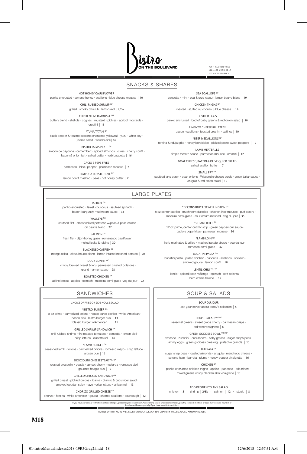

GF = GLUTEN-FREE GA = GF AVAILABLE VG = VEGETARIAN

#### SNACKS & SHARES

panko encrusted · serrano honey · scallions · blue cheese mousse | 10 SEA SCALLOPS<sup>GF</sup>

pancetta · mint · pea & orzo ragout· lemon beurre blanc | 19 CHICKEN THIGHS GF

roasted · stuffed w/ chorizo & blue cheese | 14 DEVILED EGGS

panko encrusted · bed of baby greens & red onion salad | 10 PIMENTO CHEESE RILLETE GA

bacon · scallions · toasted crostini · saltines | 10

\*BEEF MEDALLIONS GF fontina & nduja grits · honey bordelaise · pickled petite sweet peppers | 19

> LAMB MEATBALLS simple tomato sauce · parmesan mousse · crostini | 12

GOAT CHEESE, BACON & OLIVE QUICK BREAD salted scallion butter | 7

\*DECONSTRUCTED WELLINGTON GA 8 oz center cut filet · mushroom duxelles · chicken liver mousse · puff pastry · madeira demi-glace · sour cream mashed · veg du jour | 36 \*STEAK FRITES GA 12 oz prime, center cut NY strip · green peppercorn sauce · cacio e pepe frites · parmesan mousse | 36 \*LAMB LOIN GA herb marinated & grilled · mashed potato strudel · veg du jour · romesco demi-glace | 32 BUCATINI PASTA GA bucatini pasta · pulled chicken · pancetta · scallions · spinach · smoked gouda · lemon confit | 18 LENTIL CHILI VG/GF lentils · spiced bean mélange · spinach · soft polenta · herb crème fraîche | 19

SMALL FRY <sup>GA</sup> sautéed lake perch · pearl onions · Wisconsin cheese curds · green tartar sauce · arugula & red onion salad | 15

# LARGE PLATES

HALIBUT<sup>GA</sup> panko encrusted · Israeli couscous · sautéed spinach · bacon-burgundy mushroom sauce | 33

HOT HONEY CAULIFLOWER

CHILI RUBBED SHRIMP GF grilled · smoky chili rub · lemon aioli | 2/Ea CHICKEN LIVER MOUSSE GA buttery blend  $\cdot$  shallots  $\cdot$  cognac  $\cdot$  mustard  $\cdot$  pickles  $\cdot$  apricot mostarda  $\cdot$ crostini | 11 \*TUNA TATAKI GF black pepper & toasted sesame encrusted yellowtail · yuzu · white soy · jicama salad · wasabi aioli | 16 BISTRO TAPAS PLATE GA jambon de bayonne · camembert · spiced almonds · olives · cherry confit · bacon & onion tart · salted butter · herb baguette | 16 CACIO E PEPE FRIES parmesan · black pepper · parmesan mousse | 7 TEMPURA LOBSTER TAIL GF lemon confit mashed · peas · hot honey butter | 21

> WALLEYE GA sautéed filet · smashed red potatoes w/peas & pearl onions ·

> > dill beurre blanc | 27 SALMON G

fresh filet · dijon-honey glaze · romanesco cauliflower · melted leeks & raisins | 30

BLACKENED CATFISH GF mango salsa · citrus beurre blanc · lemon infused mashed potatos | 20

DUCK CONFIT GF crispy, braised breast & leg · parmesan crusted potatoes · grand marnier sauce | 28

ROASTED CHICKEN GF

airline breast · apples · spinach · madeira demi-glace ·veg du jour | 22

### SANDWICHES

CHOICE OF FRIES OR SIDE HOUSE SALAD

\*BISTRO BURGER GA 8 oz prime · carmelized onions · house cured pickles · white American · bacon aioli · bistro burger bun | 13<br>\*classic burger w/American | 11

\*classic burger w/American | 11 GRILLED SHRIMP SANDWICH GA

chili rubbed shrimp · fire roasted tomatoes · pancetta · lemon aioli · crisp lettuce · ciabatta roll | 14

\*LAMB BURGER GA

seasoned lamb · fontina · carmelized onions · romesco mayo · crisp lettuce · artisan bun | 16

BROCCOLINI CHEESESTEAK VG / GA

roasted broccolini · gouda · apricot-cherry mostarda · romesco aioli · gourmet hoagie bun | 12

GRILLED CHICKEN SANDWICH GA

grilled breast · pickled onions · jicama · cilantro & cucumber salad · smoked gouda · spicy mayo · crisp lettuce · artisan roll | 13

CHORIZO GRILLED CHEESE GA chorizo · fontina · white american · gouda · charred scallions · sourdough | 12

ADD PROTIEN TO ANY SALAD · chicken | 5 · shrimp | 2/Ea · salmon | 12 · steak | 8

SOUP & SALADS SOUP DU JOUR ask your server about today's selection | 5 HOUSE SALAD VG / GF seasonal greens · sweet grape cherry · parmesan crisps · red wine vinaigrette | 6 GREEN GODDESS BOWL VG/GF avocado · zucchini · cucumbers · baby greens · sugar snaps peas · jammy eggs · green goddess dressing · pistachio granola | 13 BURRATA GF sugar snap peas · toasted almonds · arugula · manchego cheese · serrano ham · burrata · plums · honey-pepper vinaigrette | 16 CHICKEN GA panko encrusted chicken thighs · apples · pancetta · brie fritters · mixed greens crispy chicken skin vinaigrette | 13

lf you have any dietary restrictions or food allergies, please let your server know. "Consuming raw or undercooked meats, poultry, seafood, shellfish, or eggs may increase your risk of<br>foodborne illness, especially if you

PARTIES OF 8 OR MORE WILL RECEIVE ONE CHECK ; AN 18% GRATUITY WILL BE ADDED AUTOMATICALLY.

**M18**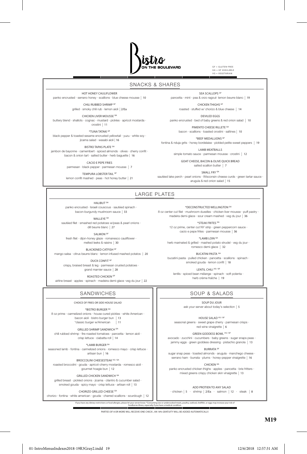

GF = GLUTEN-FREE GA = GF AVAILABLE VG = VEGETARIAN

#### SNACKS & SHARES

HOT HONEY CAULIFLOWER

panko encrusted · serrano honey · scallions · blue cheese mousse | 10

CHILI RUBBED SHRIMP GF grilled · smoky chili rub · lemon aioli | 2/Ea

CHICKEN LIVER MOUSSE GA

buttery blend  $\cdot$  shallots  $\cdot$  cognac  $\cdot$  mustard  $\cdot$  pickles  $\cdot$  apricot mostarda  $\cdot$ crostini | 11

\*TUNA TATAKI GF black pepper & toasted sesame encrusted yellowtail · yuzu · white soy ·

jicama salad · wasabi aioli | 16

BISTRO TAPAS PLATE GA jambon de bayonne · camembert · spiced almonds · olives · cherry confit · bacon & onion tart · salted butter · herb baguette | 16

CACIO E PEPE FRIES

parmesan · black pepper · parmesan mousse | 7 TEMPURA LOBSTER TAIL GF

lemon confit mashed · peas · hot honey butter | 21

SEA SCALLOPS<sup>GF</sup> pancetta · mint · pea & orzo ragout· lemon beurre blanc | 19

CHICKEN THIGHS GF roasted · stuffed w/ chorizo & blue cheese | 14 DEVILED EGGS

panko encrusted · bed of baby greens & red onion salad | 10 PIMENTO CHEESE RILLETE GA

bacon · scallions · toasted crostini · saltines | 10

\*BEEF MEDALLIONS GF fontina & nduja grits · honey bordelaise · pickled petite sweet peppers | 19

> LAMB MEATBALLS simple tomato sauce · parmesan mousse · crostini | 12

GOAT CHEESE, BACON & OLIVE QUICK BREAD salted scallion butter | 7

SMALL FRY <sup>GA</sup> sautéed lake perch · pearl onions · Wisconsin cheese curds · green tartar sauce · arugula & red onion salad | 15

# LARGE PLATES

HALIBUT<sup>GA</sup> panko encrusted · Israeli couscous · sautéed spinach · bacon-burgundy mushroom sauce | 33

WALLEYE GA sautéed filet · smashed red potatoes w/peas & pearl onions · dill beurre blanc | 27

SALMON<sup>G</sup> fresh filet · dijon-honey glaze · romanesco cauliflower ·

melted leeks & raisins | 30

BLACKENED CATFISH GF mango salsa · citrus beurre blanc · lemon infused mashed potatos | 20

DUCK CONFIT GF crispy, braised breast & leg · parmesan crusted potatoes · grand marnier sauce | 28 ROASTED CHICKEN GF

airline breast · apples · spinach · madeira demi-glace ·veg du jour | 22

### SANDWICHES

CHOICE OF FRIES OR SIDE HOUSE SALAD

\*BISTRO BURGER GA

8 oz prime · carmelized onions · house cured pickles · white American · bacon aioli · bistro burger bun | 13 \*classic burger w/American | 11

GRILLED SHRIMP SANDWICH GA

chili rubbed shrimp · fire roasted tomatoes · pancetta · lemon aioli · crisp lettuce · ciabatta roll | 14

\*LAMB BURGER GA

seasoned lamb · fontina · carmelized onions · romesco mayo · crisp lettuce · artisan bun | 16

BROCCOLINI CHEESESTEAK VG / GA

roasted broccolini · gouda · apricot-cherry mostarda · romesco aioli · gourmet hoagie bun | 12

GRILLED CHICKEN SANDWICH GA grilled breast · pickled onions · jicama · cilantro & cucumber salad · smoked gouda · spicy mayo · crisp lettuce · artisan roll | 13

CHORIZO GRILLED CHEESE GA chorizo · fontina · white american · gouda · charred scallions · sourdough | 12<br>
If you have any dietary restrictions or food allergies, please let your server know. "Co

\*DECONSTRUCTED WELLINGTON GA 8 oz center cut filet · mushroom duxelles · chicken liver mousse · puff pastry · madeira demi-glace · sour cream mashed · veg du jour | 36

> \*STEAK FRITES GA 12 oz prime, center cut NY strip · green peppercorn sauce · cacio e pepe frites · parmesan mousse | 36

\*LAMB LOIN GA herb marinated & grilled · mashed potato strudel · veg du jour · romesco demi-glace | 32

BUCATINI PASTA GA bucatini pasta · pulled chicken · pancetta · scallions · spinach · smoked gouda · lemon confit | 18

LENTIL CHILI VG/GF lentils · spiced bean mélange · spinach · soft polenta · herb crème fraîche | 19

## SOUP & SALADS

SOUP DU JOUR ask your server about today's selection | 5

HOUSE SALAD VG / GF seasonal greens · sweet grape cherry · parmesan crisps · red wine vinaigrette | 6

GREEN GODDESS BOWL VG/GF avocado · zucchini · cucumbers · baby greens · sugar snaps peas ·

jammy eggs · green goddess dressing · pistachio granola | 13 BURRATA GF sugar snap peas · toasted almonds · arugula · manchego cheese ·

serrano ham · burrata · plums · honey-pepper vinaigrette | 16

CHICKEN GA panko encrusted chicken thighs · apples · pancetta · brie fritters · mixed greens crispy chicken skin vinaigrette | 13

ADD PROTIEN TO ANY SALAD · chicken | 5 · shrimp | 2/Ea · salmon | 12 · steak | 8

lf you have any dietary restrictions or food allergies, please let your server know. "Consuming raw or undercooked meats, poultry, seafood, shellfish, or eggs may increase your risk of<br>foodborne illness, especially if you

PARTIES OF 8 OR MORE WILL RECEIVE ONE CHECK ; AN 18% GRATUITY WILL BE ADDED AUTOMATICALLY.